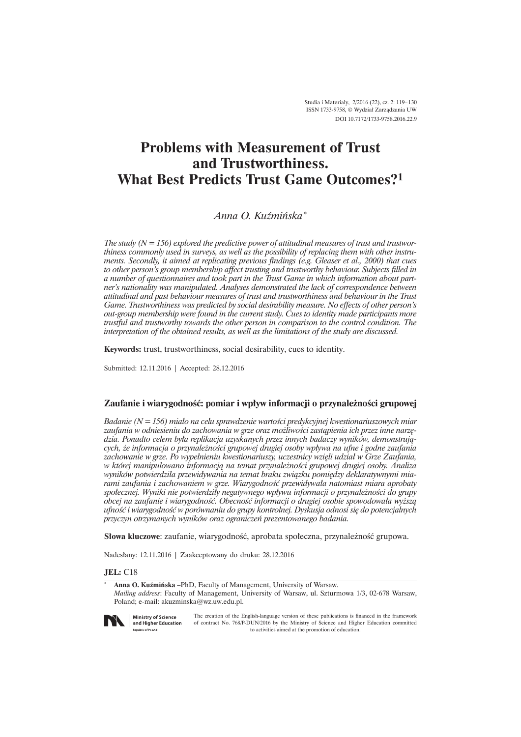# **Problems with Measurement of Trust and Trustworthiness. What Best Predicts Trust Game Outcomes?<sup>1</sup>**

# *Anna O. Kuěmiñska\**

*The study (N = 156) explored the predictive power of attitudinal measures of trust and trustworthiness commonly used in surveys, as well as the possibility of replacing them with other instruments. Secondly, it aimed at replicating previous findings (e.g. Gleaser et al., 2000) that cues to other person's group membership affect trusting and trustworthy behaviour. Subjects filled in a number of questionnaires and took part in the Trust Game in which information about partner's nationality was manipulated. Analyses demonstrated the lack of correspondence between attitudinal and past behaviour measures of trust and trustworthiness and behaviour in the Trust Game. Trustworthiness was predicted by social desirability measure. No effects of other person's out-group membership were found in the current study. Cues to identity made participants more trustful and trustworthy towards the other person in comparison to the control condition. The interpretation of the obtained results, as well as the limitations of the study are discussed.*

**Keywords:** trust, trustworthiness, social desirability, cues to identity.

Submitted: 12.11.2016 | Accepted: 28.12.2016

# **Zaufanie i wiarygodnoĂÊ: pomiar i wpïyw informacji o przynaleĝnoĂci grupowej**

*Badanie (N = 156) miaïo na celu sprawdzenie wartoĂci predykcyjnej kwestionariuszowych miar zaufania w odniesieniu do zachowania w grze oraz moĝliwoĂci zastÈpienia ich przez inne narzÚdzia. Ponadto celem byïa replikacja uzyskanych przez innych badaczy wyników, demonstrujÈcych, ĝe informacja o przynaleĝnoĂci grupowej drugiej osoby wpïywa na ufne i godne zaufania zachowanie w grze. Po wypeïnieniu kwestionariuszy, uczestnicy wziÚli udziaï w Grze Zaufania, w której manipulowano informacjÈ na temat przynaleĝnoĂci grupowej drugiej osoby. Analiza*  wyników potwierdziła przewidywania na temat braku związku pomiędzy deklaratywnymi mia*rami zaufania i zachowaniem w grze. WiarygodnoĂÊ przewidywaïa natomiast miara aprobaty spoïecznej. Wyniki nie potwierdziïy negatywnego wpïywu informacji o przynaleĝnoĂci do grupy obcej na zaufanie i wiarygodnoĂÊ. ObecnoĂÊ informacji o drugiej osobie spowodowaïa wyĝszÈ ufnoĂÊ i wiarygodnoĂÊ w porównaniu do grupy kontrolnej. Dyskusja odnosi siÚbdo potencjalnych przyczyn otrzymanych wyników oraz ograniczeñ prezentowanego badania.* 

**Słowa kluczowe:** zaufanie, wiarygodność, aprobata społeczna, przynależność grupowa.

Nadesïany: 12.11.2016 | Zaakceptowany do druku: 28.12.2016

### **JEL:** C18

\* **Anna O. Kuěmiñska** –PhD, Faculty of Management, University of Warsaw. *Mailing address*: Faculty of Management, University of Warsaw, ul. Szturmowa 1/3, 02-678 Warsaw, Poland; e-mail: akuzminska@wz.uw.edu.pl.



**Ministry of Science** and Higher Education **Republic of Poland** 

The creation of the English-language version of these publications is financed in the framework of contract No. 768/P-DUN/2016 by the Ministry of Science and Higher Education committed to activities aimed at the promotion of education.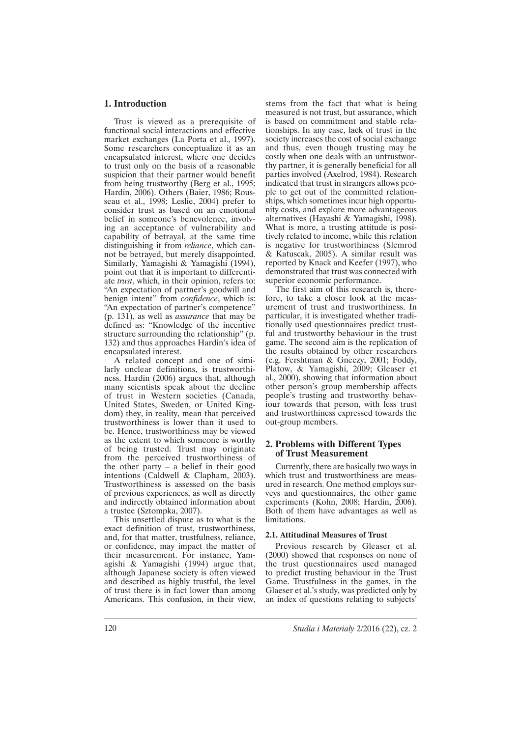# **1. Introduction**

Trust is viewed as a prerequisite of functional social interactions and effective market exchanges (La Porta et al., 1997). Some researchers conceptualize it as an encapsulated interest, where one decides to trust only on the basis of a reasonable suspicion that their partner would benefit from being trustworthy (Berg et al., 1995; Hardin, 2006). Others (Baier, 1986; Rousseau et al., 1998; Leslie, 2004) prefer to consider trust as based on an emotional belief in someone's benevolence, involving an acceptance of vulnerability and capability of betrayal, at the same time distinguishing it from *reliance*, which cannot be betrayed, but merely disappointed. Similarly, Yamagishi & Yamagishi (1994), point out that it is important to differentiate *trust*, which, in their opinion, refers to: "An expectation of partner's goodwill and benign intent" from *confidence*, which is: "An expectation of partner's competence" (p. 131), as well as *assurance* that may be defined as: "Knowledge of the incentive structure surrounding the relationship" (p. 132) and thus approaches Hardin's idea of encapsulated interest.

A related concept and one of similarly unclear definitions, is trustworthiness. Hardin (2006) argues that, although many scientists speak about the decline of trust in Western societies (Canada, United States, Sweden, or United Kingdom) they, in reality, mean that perceived trustworthiness is lower than it used to be. Hence, trustworthiness may be viewed as the extent to which someone is worthy of being trusted. Trust may originate from the perceived trustworthiness of the other party – a belief in their good intentions (Caldwell & Clapham, 2003). Trustworthiness is assessed on the basis of previous experiences, as well as directly and indirectly obtained information about a trustee (Sztompka, 2007).

This unsettled dispute as to what is the exact definition of trust, trustworthiness, and, for that matter, trustfulness, reliance, or confidence, may impact the matter of their measurement. For instance, Yamagishi & Yamagishi (1994) argue that, although Japanese society is often viewed and described as highly trustful, the level of trust there is in fact lower than among Americans. This confusion, in their view, stems from the fact that what is being measured is not trust, but assurance, which is based on commitment and stable relationships. In any case, lack of trust in the society increases the cost of social exchange and thus, even though trusting may be costly when one deals with an untrustworthy partner, it is generally beneficial for all parties involved (Axelrod, 1984). Research indicated that trust in strangers allows people to get out of the committed relationships, which sometimes incur high opportunity costs, and explore more advantageous alternatives (Hayashi & Yamagishi, 1998). What is more, a trusting attitude is positively related to income, while this relation is negative for trustworthiness (Slemrod & Katuscak, 2005). A similar result was reported by Knack and Keefer (1997), who demonstrated that trust was connected with superior economic performance.

The first aim of this research is, therefore, to take a closer look at the measurement of trust and trustworthiness. In particular, it is investigated whether traditionally used questionnaires predict trustful and trustworthy behaviour in the trust game. The second aim is the replication of the results obtained by other researchers (e.g. Fershtman & Gneezy, 2001; Foddy, Platow, & Yamagishi, 2009; Gleaser et al., 2000), showing that information about other person's group membership affects people's trusting and trustworthy behaviour towards that person, with less trust and trustworthiness expressed towards the out-group members.

## **2. Problems with Different Types of Trust Measurement**

Currently, there are basically two ways in which trust and trustworthiness are measured in research. One method employs surveys and questionnaires, the other game experiments (Kohn, 2008; Hardin, 2006). Both of them have advantages as well as **limitations** 

#### **2.1. Attitudinal Measures of Trust**

Previous research by Gleaser et al. (2000) showed that responses on none of the trust questionnaires used managed to predict trusting behaviour in the Trust Game. Trustfulness in the games, in the Glaeser et al.'s study, was predicted only by an index of questions relating to subjects'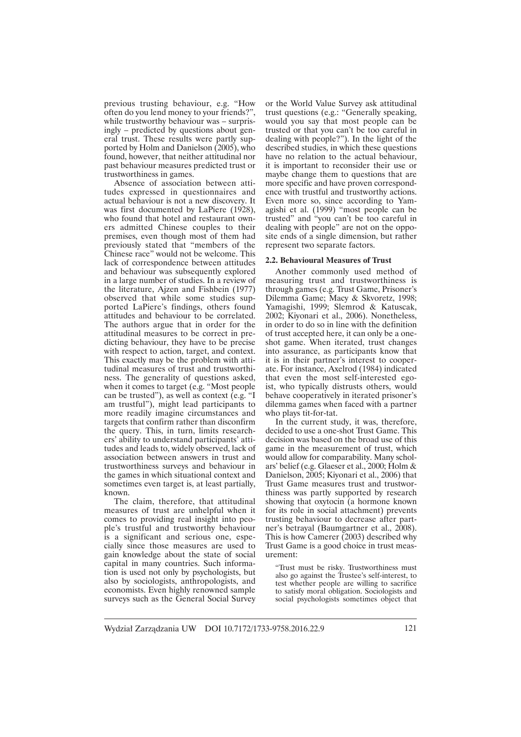previous trusting behaviour, e.g. "How often do you lend money to your friends?", while trustworthy behaviour was – surprisingly – predicted by questions about general trust. These results were partly supported by Holm and Danielson (2005), who found, however, that neither attitudinal nor past behaviour measures predicted trust or trustworthiness in games.

Absence of association between attitudes expressed in questionnaires and actual behaviour is not a new discovery. It was first documented by LaPiere (1928), who found that hotel and restaurant owners admitted Chinese couples to their premises, even though most of them had previously stated that "members of the Chinese race" would not be welcome. This lack of correspondence between attitudes and behaviour was subsequently explored in a large number of studies. In a review of the literature, Ajzen and Fishbein (1977) observed that while some studies supported LaPiere's findings, others found attitudes and behaviour to be correlated. The authors argue that in order for the attitudinal measures to be correct in predicting behaviour, they have to be precise with respect to action, target, and context. This exactly may be the problem with attitudinal measures of trust and trustworthiness. The generality of questions asked, when it comes to target (e.g. "Most people can be trusted"), as well as context (e.g. "I am trustful"), might lead participants to more readily imagine circumstances and targets that confirm rather than disconfirm the query. This, in turn, limits researchers' ability to understand participants' attitudes and leads to, widely observed, lack of association between answers in trust and trustworthiness surveys and behaviour in the games in which situational context and sometimes even target is, at least partially, known.

The claim, therefore, that attitudinal measures of trust are unhelpful when it comes to providing real insight into people's trustful and trustworthy behaviour is a significant and serious one, especially since those measures are used to gain knowledge about the state of social capital in many countries. Such information is used not only by psychologists, but also by sociologists, anthropologists, and economists. Even highly renowned sample surveys such as the General Social Survey

or the World Value Survey ask attitudinal trust questions (e.g.: "Generally speaking, would you say that most people can be trusted or that you can't be too careful in dealing with people?"). In the light of the described studies, in which these questions have no relation to the actual behaviour, it is important to reconsider their use or maybe change them to questions that are more specific and have proven correspondence with trustful and trustworthy actions. Even more so, since according to Yamagishi et al. (1999) "most people can be trusted" and "you can't be too careful in dealing with people" are not on the opposite ends of a single dimension, but rather represent two separate factors.

#### **2.2. Behavioural Measures of Trust**

Another commonly used method of measuring trust and trustworthiness is through games (e.g. Trust Game, Prisoner's Dilemma Game; Macy & Skvoretz, 1998; Yamagishi, 1999; Slemrod & Katuscak, 2002; Kiyonari et al., 2006). Nonetheless, in order to do so in line with the definition of trust accepted here, it can only be a oneshot game. When iterated, trust changes into assurance, as participants know that it is in their partner's interest to cooperate. For instance, Axelrod (1984) indicated that even the most self-interested egoist, who typically distrusts others, would behave cooperatively in iterated prisoner's dilemma games when faced with a partner who plays tit-for-tat.

In the current study, it was, therefore, decided to use a one-shot Trust Game. This decision was based on the broad use of this game in the measurement of trust, which would allow for comparability. Many scholars' belief (e.g. Glaeser et al., 2000; Holm & Danielson, 2005; Kiyonari et al., 2006) that Trust Game measures trust and trustworthiness was partly supported by research showing that oxytocin (a hormone known for its role in social attachment) prevents trusting behaviour to decrease after partner's betrayal (Baumgartner et al., 2008). This is how Camerer (2003) described why Trust Game is a good choice in trust measurement:

"Trust must be risky. Trustworthiness must also go against the Trustee's self-interest, to test whether people are willing to sacrifice to satisfy moral obligation. Sociologists and social psychologists sometimes object that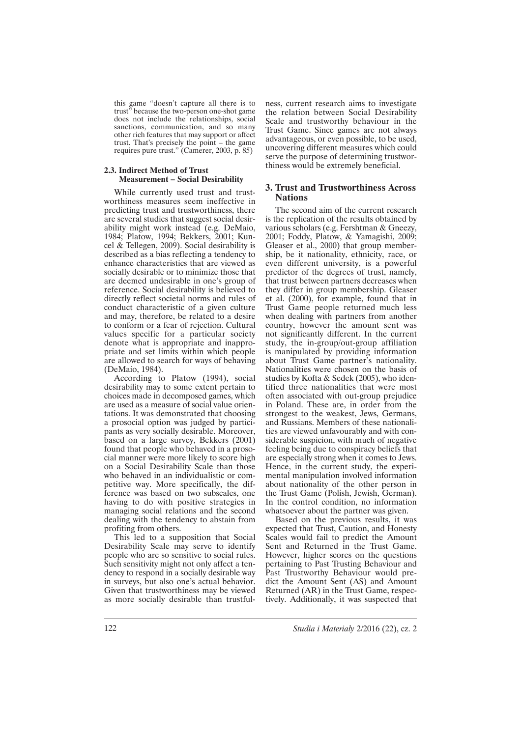this game "doesn't capture all there is to trust" because the two-person one-shot game does not include the relationships, social sanctions, communication, and so many other rich features that may support or affect trust. That's precisely the point – the game requires pure trust." (Camerer, 2003, p. 85)

#### **2.3. Indirect Method of Trust Measurement – Social Desirability**

While currently used trust and trustworthiness measures seem ineffective in predicting trust and trustworthiness, there are several studies that suggest social desirability might work instead (e.g. DeMaio, 1984; Platow, 1994; Bekkers, 2001; Kuncel & Tellegen, 2009). Social desirability is described as a bias reflecting a tendency to enhance characteristics that are viewed as socially desirable or to minimize those that are deemed undesirable in one's group of reference. Social desirability is believed to directly reflect societal norms and rules of conduct characteristic of a given culture and may, therefore, be related to a desire to conform or a fear of rejection. Cultural values specific for a particular society denote what is appropriate and inappropriate and set limits within which people are allowed to search for ways of behaving (DeMaio, 1984).

According to Platow (1994), social desirability may to some extent pertain to choices made in decomposed games, which are used as a measure of social value orientations. It was demonstrated that choosing a prosocial option was judged by participants as very socially desirable. Moreover, based on a large survey, Bekkers (2001) found that people who behaved in a prosocial manner were more likely to score high on a Social Desirability Scale than those who behaved in an individualistic or competitive way. More specifically, the difference was based on two subscales, one having to do with positive strategies in managing social relations and the second dealing with the tendency to abstain from profiting from others.

This led to a supposition that Social Desirability Scale may serve to identify people who are so sensitive to social rules. Such sensitivity might not only affect a tendency to respond in a socially desirable way in surveys, but also one's actual behavior. Given that trustworthiness may be viewed as more socially desirable than trustfulness, current research aims to investigate the relation between Social Desirability Scale and trustworthy behaviour in the Trust Game. Since games are not always advantageous, or even possible, to be used, uncovering different measures which could serve the purpose of determining trustworthiness would be extremely beneficial.

# **3. Trust and Trustworthiness Across Nations**

The second aim of the current research is the replication of the results obtained by various scholars (e.g. Fershtman & Gneezy, 2001; Foddy, Platow, & Yamagishi, 2009; Gleaser et al., 2000) that group membership, be it nationality, ethnicity, race, or even different university, is a powerful predictor of the degrees of trust, namely, that trust between partners decreases when they differ in group membership. Gleaser et al. (2000), for example, found that in Trust Game people returned much less when dealing with partners from another country, however the amount sent was not significantly different. In the current study, the in-group/out-group affiliation is manipulated by providing information about Trust Game partner's nationality. Nationalities were chosen on the basis of studies by Kofta & Sedek (2005), who identified three nationalities that were most often associated with out-group prejudice in Poland. These are, in order from the strongest to the weakest, Jews, Germans, and Russians. Members of these nationalities are viewed unfavourably and with considerable suspicion, with much of negative feeling being due to conspiracy beliefs that are especially strong when it comes to Jews. Hence, in the current study, the experimental manipulation involved information about nationality of the other person in the Trust Game (Polish, Jewish, German). In the control condition, no information whatsoever about the partner was given.

Based on the previous results, it was expected that Trust, Caution, and Honesty Scales would fail to predict the Amount Sent and Returned in the Trust Game. However, higher scores on the questions pertaining to Past Trusting Behaviour and Past Trustworthy Behaviour would predict the Amount Sent (AS) and Amount Returned (AR) in the Trust Game, respectively. Additionally, it was suspected that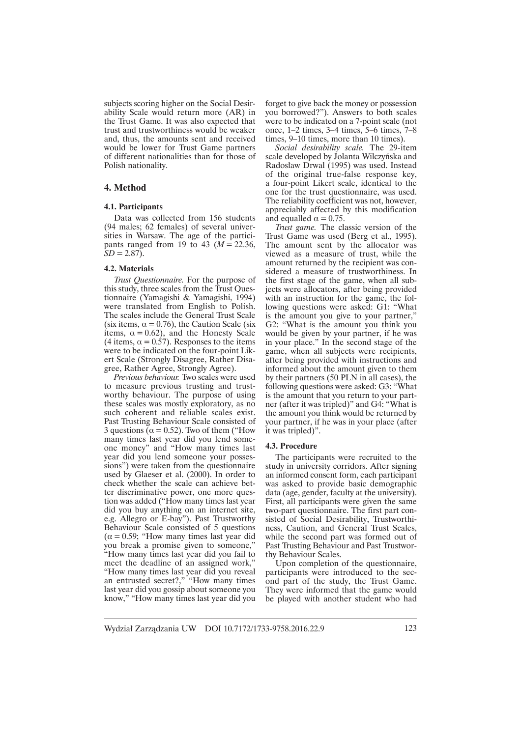subjects scoring higher on the Social Desirability Scale would return more (AR) in the Trust Game. It was also expected that trust and trustworthiness would be weaker and, thus, the amounts sent and received would be lower for Trust Game partners of different nationalities than for those of Polish nationality.

## **4. Method**

#### **4.1. Participants**

Data was collected from 156 students (94 males; 62 females) of several universities in Warsaw. The age of the participants ranged from 19 to 43 ( $M = 22.36$ ,  $SD = 2.87$ .

## **4.2. Materials**

*Trust Questionnaire.* For the purpose of this study, three scales from the Trust Questionnaire (Yamagishi & Yamagishi, 1994) were translated from English to Polish. The scales include the General Trust Scale (six items,  $\alpha = 0.76$ ), the Caution Scale (six items,  $\alpha = 0.62$ ), and the Honesty Scale (4 items,  $\alpha = 0.57$ ). Responses to the items were to be indicated on the four-point Likert Scale (Strongly Disagree, Rather Disagree, Rather Agree, Strongly Agree).

*Previous behaviour.* Two scales were used to measure previous trusting and trustworthy behaviour. The purpose of using these scales was mostly exploratory, as no such coherent and reliable scales exist. Past Trusting Behaviour Scale consisted of 3 questions  $\bar{Q}$  = 0.52). Two of them ("How many times last year did you lend someone money" and "How many times last year did you lend someone your possessions") were taken from the questionnaire used by Glaeser et al. (2000). In order to check whether the scale can achieve better discriminative power, one more question was added ("How many times last year did you buy anything on an internet site, e.g. Allegro or E-bay"). Past Trustworthy Behaviour Scale consisted of 5 questions  $(\alpha = 0.59;$  "How many times last year did you break a promise given to someone," "How many times last year did you fail to meet the deadline of an assigned work," "How many times last year did you reveal an entrusted secret?," "How many times last year did you gossip about someone you know," "How many times last year did you

forget to give back the money or possession you borrowed?"). Answers to both scales were to be indicated on a 7-point scale (not once, 1–2 times, 3–4 times, 5–6 times, 7–8 times, 9–10 times, more than 10 times).

*Social desirability scale.* The 29-item scale developed by Jolanta Wilczyñska and Radosïaw Drwal (1995) was used. Instead of the original true-false response key, a four-point Likert scale, identical to the one for the trust questionnaire, was used. The reliability coefficient was not, however, appreciably affected by this modification and equalled  $\alpha = 0.75$ .

*Trust game.* The classic version of the Trust Game was used (Berg et al., 1995). The amount sent by the allocator was viewed as a measure of trust, while the amount returned by the recipient was considered a measure of trustworthiness. In the first stage of the game, when all subjects were allocators, after being provided with an instruction for the game, the following questions were asked: G1: "What is the amount you give to your partner," G2: "What is the amount you think you would be given by your partner, if he was in your place." In the second stage of the game, when all subjects were recipients, after being provided with instructions and informed about the amount given to them by their partners (50 PLN in all cases), the following questions were asked: G3: "What is the amount that you return to your partner (after it was tripled)" and G4: "What is the amount you think would be returned by your partner, if he was in your place (after it was tripled)".

#### **4.3. Procedure**

The participants were recruited to the study in university corridors. After signing an informed consent form, each participant was asked to provide basic demographic data (age, gender, faculty at the university). First, all participants were given the same two-part questionnaire. The first part consisted of Social Desirability, Trustworthiness, Caution, and General Trust Scales, while the second part was formed out of Past Trusting Behaviour and Past Trustworthy Behaviour Scales.

Upon completion of the questionnaire, participants were introduced to the second part of the study, the Trust Game. They were informed that the game would be played with another student who had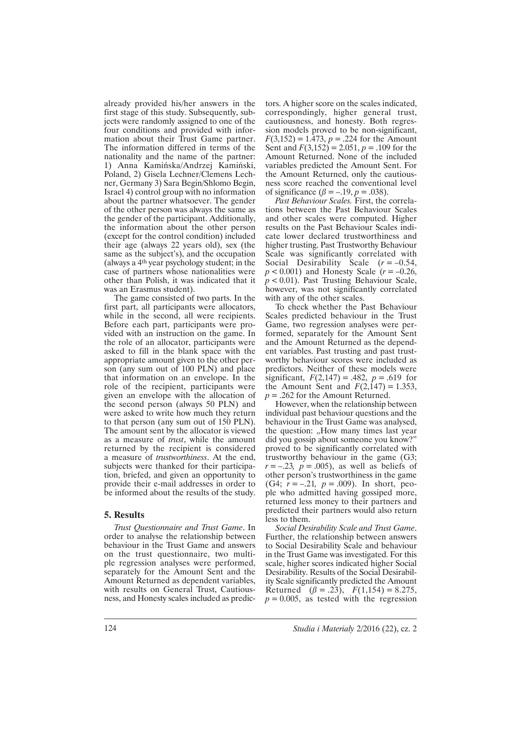already provided his/her answers in the first stage of this study. Subsequently, subjects were randomly assigned to one of the four conditions and provided with information about their Trust Game partner. The information differed in terms of the nationality and the name of the partner: 1) Anna Kamiñska/Andrzej Kamiñski, Poland, 2) Gisela Lechner/Clemens Lechner, Germany 3) Sara Begin/Shlomo Begin, Israel 4) control group with no information about the partner whatsoever. The gender of the other person was always the same as the gender of the participant. Additionally, the information about the other person (except for the control condition) included their age (always 22 years old), sex (the same as the subject's), and the occupation (always a 4 th year psychology student; in the case of partners whose nationalities were other than Polish, it was indicated that it was an Erasmus student).

The game consisted of two parts. In the first part, all participants were allocators, while in the second, all were recipients. Before each part, participants were provided with an instruction on the game. In the role of an allocator, participants were asked to fill in the blank space with the appropriate amount given to the other person (any sum out of 100 PLN) and place that information on an envelope. In the role of the recipient, participants were given an envelope with the allocation of the second person (always 50 PLN) and were asked to write how much they return to that person (any sum out of 150 PLN). The amount sent by the allocator is viewed as a measure of *trust*, while the amount returned by the recipient is considered a measure of *trustworthiness*. At the end, subjects were thanked for their participation, briefed, and given an opportunity to provide their e-mail addresses in order to be informed about the results of the study.

## **5. Results**

*Trust Questionnaire and Trust Game*. In order to analyse the relationship between behaviour in the Trust Game and answers on the trust questionnaire, two multiple regression analyses were performed, separately for the Amount Sent and the Amount Returned as dependent variables, with results on General Trust, Cautiousness, and Honesty scales included as predictors. A higher score on the scales indicated, correspondingly, higher general trust, cautiousness, and honesty. Both regression models proved to be non-significant,  $F(3,152) = 1.473, p = .224$  for the Amount Sent and  $F(3,152) = 2.051, p = .109$  for the Amount Returned. None of the included variables predicted the Amount Sent. For the Amount Returned, only the cautiousness score reached the conventional level of significance ( $\beta = -.19, p = .038$ ).

*Past Behaviour Scales.* First, the correlations between the Past Behaviour Scales and other scales were computed. Higher results on the Past Behaviour Scales indicate lower declared trustworthiness and higher trusting. Past Trustworthy Behaviour Scale was significantly correlated with Social Desirability Scale  $(r = -0.54)$ , *p* < 0.001) and Honesty Scale (*r* = –0.26, *p* < 0.01). Past Trusting Behaviour Scale, however, was not significantly correlated with any of the other scales.

To check whether the Past Behaviour Scales predicted behaviour in the Trust Game, two regression analyses were performed, separately for the Amount Sent and the Amount Returned as the dependent variables. Past trusting and past trustworthy behaviour scores were included as predictors. Neither of these models were significant,  $F(2,147) = .482$ ,  $p = .619$  for the Amount Sent and  $F(2,147) = 1.353$ ,  $p = 0.262$  for the Amount Returned.

However, when the relationship between individual past behaviour questions and the behaviour in the Trust Game was analysed, the question: "How many times last year did you gossip about someone you know?" proved to be significantly correlated with trustworthy behaviour in the game (G3;  $r = -.23$ ,  $p = .005$ ), as well as beliefs of other person's trustworthiness in the game (G4; *r =* –.21*, p* = .009). In short, people who admitted having gossiped more, returned less money to their partners and predicted their partners would also return less to them.

*Social Desirability Scale and Trust Game*. Further, the relationship between answers to Social Desirability Scale and behaviour in the Trust Game was investigated. For this scale, higher scores indicated higher Social Desirability. Results of the Social Desirability Scale significantly predicted the Amount Returned  $(\beta = .23)$ ,  $F(1,154) = 8.275$ ,  $p = 0.005$ , as tested with the regression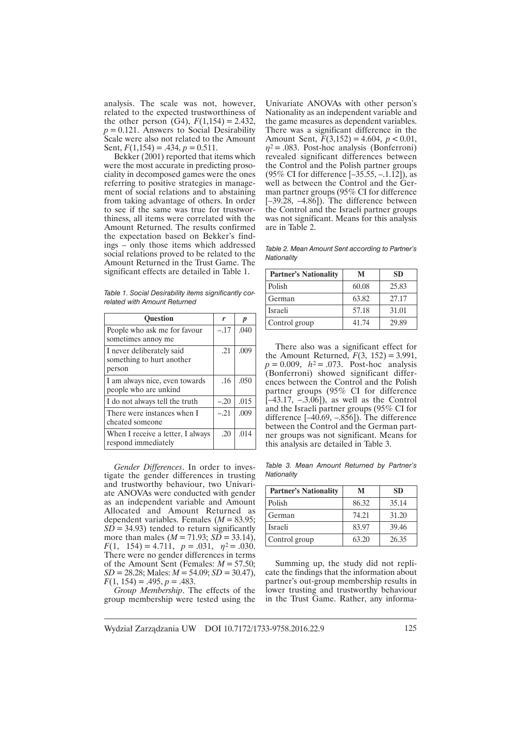analysis. The scale was not, however, related to the expected trustworthiness of the other person (G4),  $F(1,154) = 2.432$ ,  $p = 0.121$ . Answers to Social Desirability Scale were also not related to the Amount Sent,  $F(1,154) = .434, p = 0.511.$ 

Bekker (2001) reported that items which were the most accurate in predicting prosociality in decomposed games were the ones referring to positive strategies in management of social relations and to abstaining from taking advantage of others. In order to see if the same was true for trustworthiness, all items were correlated with the Amount Returned. The results confirmed the expectation based on Bekker's findings – only those items which addressed social relations proved to be related to the Amount Returned in the Trust Game. The significant effects are detailed in Table 1.

*Table 1. Social Desirability items significantly correlated with Amount Returned*

| <b>Ouestion</b>                                                  | r      | p    |
|------------------------------------------------------------------|--------|------|
| People who ask me for favour<br>sometimes annoy me               | $-.17$ | .040 |
| I never deliberately said<br>something to hurt another<br>person | .21    | .009 |
| I am always nice, even towards<br>people who are unkind          | .16    | .050 |
| I do not always tell the truth                                   | $-.20$ | .015 |
| There were instances when I<br>cheated someone                   | $-.21$ | .009 |
| When I receive a letter, I always<br>respond immediately         | .20    | .014 |

*Gender Differences*. In order to investigate the gender differences in trusting and trustworthy behaviour, two Univariate ANOVAs were conducted with gender as an independent variable and Amount Allocated and Amount Returned as dependent variables. Females (*M* = 83.95;  $SD = 34.93$ ) tended to return significantly more than males (*M* = 71.93; *SD* = 33.14),  $F(1, 154) = 4.711, p = .031, \eta^2 = .030.$ There were no gender differences in terms of the Amount Sent (Females: *M* = 57.50; *SD* = 28.28; Males: *M* = 54.09; *SD* = 30.47),  $F(1, 154) = .495, p = .483.$ 

*Group Membership*. The effects of the group membership were tested using the

Univariate ANOVAs with other person's Nationality as an independent variable and the game measures as dependent variables. There was a significant difference in the Amount Sent, *F*(3,152) = 4.604, *p* < 0.01,  $\eta^2$  = .083. Post-hoc analysis (Bonferroni) revealed significant differences between the Control and the Polish partner groups (95% CI for difference [–35.55, –.1.12]), as well as between the Control and the German partner groups (95% CI for difference  $[-39.28, -4.86]$ . The difference between the Control and the Israeli partner groups was not significant. Means for this analysis are in Table 2.

*Table 2. Mean Amount Sent according to Partner's Nationality*

| <b>Partner's Nationality</b> | М     | SD.   |
|------------------------------|-------|-------|
| Polish                       | 60.08 | 25.83 |
| German                       | 63.82 | 27.17 |
| Israeli                      | 57.18 | 31.01 |
| Control group                | 41.74 | 29.89 |

There also was a significant effect for the Amount Returned,  $F(3, 152) = 3.991$ ,  $p = 0.009$ ,  $h^2 = .073$ . Post-hoc analysis (Bonferroni) showed significant differences between the Control and the Polish partner groups (95% CI for difference  $[-43.17, -3.06]$ , as well as the Control and the Israeli partner groups (95% CI for difference [–40.69, –.856]). The difference between the Control and the German partner groups was not significant. Means for this analysis are detailed in Table 3.

*Table 3. Mean Amount Returned by Partner's Nationality*

| <b>Partner's Nationality</b> | М     | <b>SD</b> |
|------------------------------|-------|-----------|
| Polish                       | 86.32 | 35.14     |
| German                       | 74.21 | 31.20     |
| <b>Israeli</b>               | 83.97 | 39.46     |
| Control group                | 63.20 | 26.35     |

Summing up, the study did not replicate the findings that the information about partner's out-group membership results in lower trusting and trustworthy behaviour in the Trust Game. Rather, any informa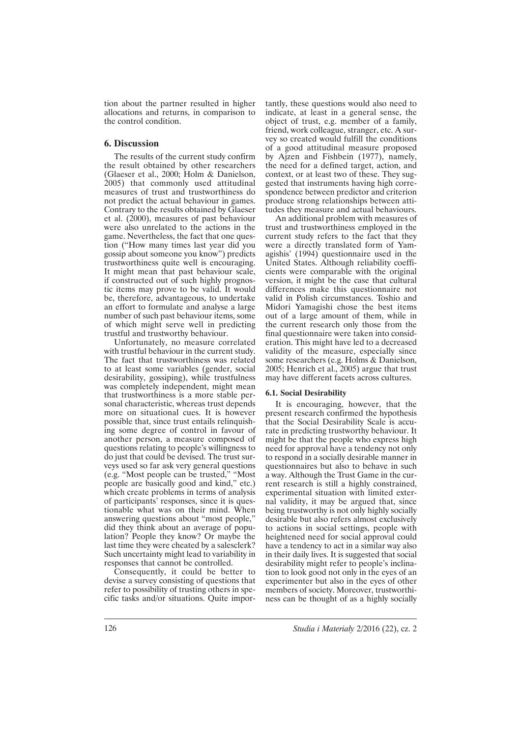tion about the partner resulted in higher allocations and returns, in comparison to the control condition.

## **6. Discussion**

The results of the current study confirm the result obtained by other researchers (Glaeser et al., 2000; Holm & Danielson, 2005) that commonly used attitudinal measures of trust and trustworthiness do not predict the actual behaviour in games. Contrary to the results obtained by Glaeser et al. (2000), measures of past behaviour were also unrelated to the actions in the game. Nevertheless, the fact that one question ("How many times last year did you gossip about someone you know") predicts trustworthiness quite well is encouraging. It might mean that past behaviour scale, if constructed out of such highly prognostic items may prove to be valid. It would be, therefore, advantageous, to undertake an effort to formulate and analyse a large number of such past behaviour items, some of which might serve well in predicting trustful and trustworthy behaviour.

Unfortunately, no measure correlated with trustful behaviour in the current study. The fact that trustworthiness was related to at least some variables (gender, social desirability, gossiping), while trustfulness was completely independent, might mean that trustworthiness is a more stable personal characteristic, whereas trust depends more on situational cues. It is however possible that, since trust entails relinquishing some degree of control in favour of another person, a measure composed of questions relating to people's willingness to do just that could be devised. The trust surveys used so far ask very general questions (e.g. "Most people can be trusted," "Most people are basically good and kind," etc.) which create problems in terms of analysis of participants' responses, since it is questionable what was on their mind. When answering questions about "most people," did they think about an average of population? People they know? Or maybe the last time they were cheated by a salesclerk? Such uncertainty might lead to variability in responses that cannot be controlled.

Consequently, it could be better to devise a survey consisting of questions that refer to possibility of trusting others in specific tasks and/or situations. Quite importantly, these questions would also need to indicate, at least in a general sense, the object of trust, e.g. member of a family, friend, work colleague, stranger, etc. A survey so created would fulfill the conditions of a good attitudinal measure proposed by Ajzen and Fishbein (1977), namely, the need for a defined target, action, and context, or at least two of these. They suggested that instruments having high correspondence between predictor and criterion produce strong relationships between attitudes they measure and actual behaviours.

An additional problem with measures of trust and trustworthiness employed in the current study refers to the fact that they were a directly translated form of Yamagishis' (1994) questionnaire used in the United States. Although reliability coefficients were comparable with the original version, it might be the case that cultural differences make this questionnaire not valid in Polish circumstances. Toshio and Midori Yamagishi chose the best items out of a large amount of them, while in the current research only those from the final questionnaire were taken into consideration. This might have led to a decreased validity of the measure, especially since some researchers (e.g. Holms & Danielson, 2005; Henrich et al., 2005) argue that trust may have different facets across cultures.

#### **6.1. Social Desirability**

It is encouraging, however, that the present research confirmed the hypothesis that the Social Desirability Scale is accurate in predicting trustworthy behaviour. It might be that the people who express high need for approval have a tendency not only to respond in a socially desirable manner in questionnaires but also to behave in such a way. Although the Trust Game in the current research is still a highly constrained, experimental situation with limited external validity, it may be argued that, since being trustworthy is not only highly socially desirable but also refers almost exclusively to actions in social settings, people with heightened need for social approval could have a tendency to act in a similar way also in their daily lives. It is suggested that social desirability might refer to people's inclination to look good not only in the eyes of an experimenter but also in the eyes of other members of society. Moreover, trustworthiness can be thought of as a highly socially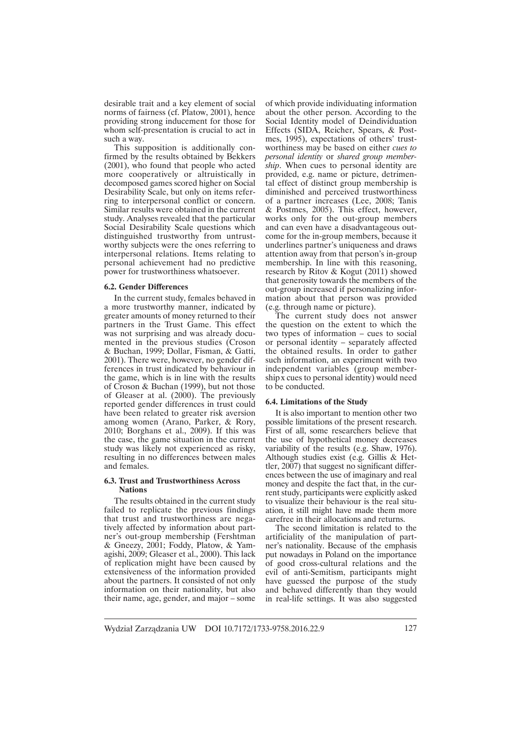desirable trait and a key element of social norms of fairness (cf. Platow, 2001), hence providing strong inducement for those for whom self-presentation is crucial to act in such a way.

This supposition is additionally confirmed by the results obtained by Bekkers (2001), who found that people who acted more cooperatively or altruistically in decomposed games scored higher on Social Desirability Scale, but only on items referring to interpersonal conflict or concern. Similar results were obtained in the current study. Analyses revealed that the particular Social Desirability Scale questions which distinguished trustworthy from untrustworthy subjects were the ones referring to interpersonal relations. Items relating to personal achievement had no predictive power for trustworthiness whatsoever.

#### **6.2. Gender Differences**

In the current study, females behaved in a more trustworthy manner, indicated by greater amounts of money returned to their partners in the Trust Game. This effect was not surprising and was already documented in the previous studies (Croson & Buchan, 1999; Dollar, Fisman, & Gatti, 2001). There were, however, no gender differences in trust indicated by behaviour in the game, which is in line with the results of Croson & Buchan (1999), but not those of Gleaser at al. (2000). The previously reported gender differences in trust could have been related to greater risk aversion among women (Arano, Parker, & Rory, 2010; Borghans et al., 2009). If this was the case, the game situation in the current study was likely not experienced as risky, resulting in no differences between males and females.

#### **6.3. Trust and Trustworthiness Across Nations**

The results obtained in the current study failed to replicate the previous findings that trust and trustworthiness are negatively affected by information about partner's out-group membership (Fershtman & Gneezy, 2001; Foddy, Platow, & Yamagishi, 2009; Gleaser et al., 2000). This lack of replication might have been caused by extensiveness of the information provided about the partners. It consisted of not only information on their nationality, but also their name, age, gender, and major – some

of which provide individuating information about the other person. According to the Social Identity model of Deindividuation Effects (SIDA, Reicher, Spears, & Postmes, 1995), expectations of others' trustworthiness may be based on either *cues to personal identity* or *shared group membership*. When cues to personal identity are provided, e.g. name or picture, detrimental effect of distinct group membership is diminished and perceived trustworthiness of a partner increases (Lee, 2008; Tanis & Postmes, 2005). This effect, however, works only for the out-group members and can even have a disadvantageous outcome for the in-group members, because it underlines partner's uniqueness and draws attention away from that person's in-group membership. In line with this reasoning, research by Ritov & Kogut (2011) showed that generosity towards the members of the out-group increased if personalizing information about that person was provided (e.g. through name or picture).

The current study does not answer the question on the extent to which the two types of information – cues to social or personal identity – separately affected the obtained results. In order to gather such information, an experiment with two independent variables (group membership x cues to personal identity) would need to be conducted.

#### **6.4. Limitations of the Study**

It is also important to mention other two possible limitations of the present research. First of all, some researchers believe that the use of hypothetical money decreases variability of the results (e.g. Shaw, 1976). Although studies exist (e.g. Gillis & Hettler, 2007) that suggest no significant differences between the use of imaginary and real money and despite the fact that, in the current study, participants were explicitly asked to visualize their behaviour is the real situation, it still might have made them more carefree in their allocations and returns.

The second limitation is related to the artificiality of the manipulation of partner's nationality. Because of the emphasis put nowadays in Poland on the importance of good cross-cultural relations and the evil of anti-Semitism, participants might have guessed the purpose of the study and behaved differently than they would in real-life settings. It was also suggested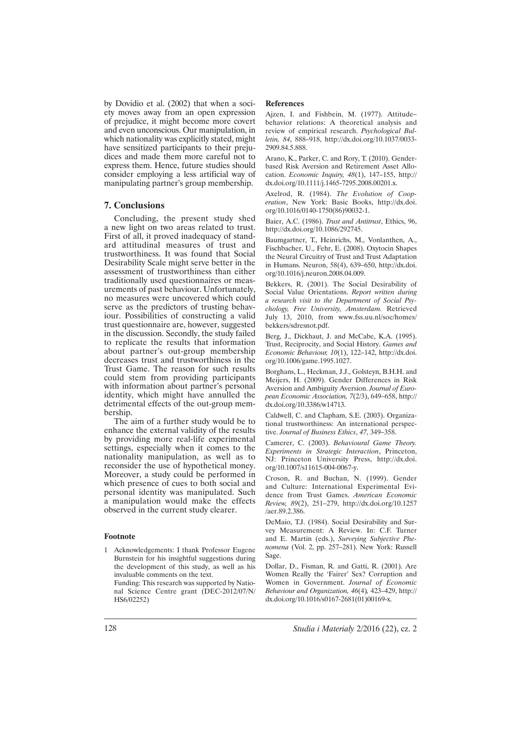by Dovidio et al. (2002) that when a society moves away from an open expression of prejudice, it might become more covert and even unconscious. Our manipulation, in which nationality was explicitly stated, might have sensitized participants to their prejudices and made them more careful not to express them. Hence, future studies should consider employing a less artificial way of manipulating partner's group membership.

# **7. Conclusions**

Concluding, the present study shed a new light on two areas related to trust. First of all, it proved inadequacy of standard attitudinal measures of trust and trustworthiness. It was found that Social Desirability Scale might serve better in the assessment of trustworthiness than either traditionally used questionnaires or measurements of past behaviour. Unfortunately, no measures were uncovered which could serve as the predictors of trusting behaviour. Possibilities of constructing a valid trust questionnaire are, however, suggested in the discussion. Secondly, the study failed to replicate the results that information about partner's out-group membership decreases trust and trustworthiness in the Trust Game. The reason for such results could stem from providing participants with information about partner's personal identity, which might have annulled the detrimental effects of the out-group membership.

The aim of a further study would be to enhance the external validity of the results by providing more real-life experimental settings, especially when it comes to the nationality manipulation, as well as to reconsider the use of hypothetical money. Moreover, a study could be performed in which presence of cues to both social and personal identity was manipulated. Such a manipulation would make the effects observed in the current study clearer.

#### **Footnote**

1 Acknowledgements: I thank Professor Eugene Burnstein for his insightful suggestions during the development of this study, as well as his invaluable comments on the text.

 Funding: This research was supported by National Science Centre grant (DEC-2012/07/N/ HS6/02252)

#### **References**

Ajzen, I. and Fishbein, M. (1977). Attitude– behavior relations: A theoretical analysis and review of empirical research. *Psychological Bulletin, 84*, 888–918, http://dx.doi.org/10.1037/0033- 2909.84.5.888.

Arano, K., Parker, C. and Rory, T. (2010). Genderbased Risk Aversion and Retirement Asset Allocation. *Economic Inquiry, 48*(1), 147–155, http:// dx.doi.org/10.1111/j.1465-7295.2008.00201.x.

Axelrod, R. (1984). *The Evolution of Cooperation*, New York: Basic Books, http://dx.doi. org/10.1016/0140-1750(86)90032-1.

Baier, A.C. (1986). *Trust and Antitrust*, Ethics, 96, http://dx.doi.org/10.1086/292745.

Baumgartner, T., Heinrichs, M., Vonlanthen, A., Fischbacher, U., Fehr, E. (2008). Oxytocin Shapes the Neural Circuitry of Trust and Trust Adaptation in Humans. Neuron, 58(4), 639–650, http://dx.doi. org/10.1016/j.neuron.2008.04.009.

Bekkers, R. (2001). The Social Desirability of Social Value Orientations. *Report written during a research visit to the Department of Social Psychology, Free University, Amsterdam.* Retrieved July 13, 2010, from www.fss.uu.nl/soc/homes/ bekkers/sdresnot.pdf.

Berg, J., Dickhaut, J. and McCabe, K.A. (1995). Trust, Reciprocity, and Social History. *Games and Economic Behaviour, 10*(1), 122–142, http://dx.doi. org/10.1006/game.1995.1027.

Borghans, L., Heckman, J.J., Golsteyn, B.H.H. and Meijers, H. (2009). Gender Differences in Risk Aversion and Ambiguity Aversion. *Journal of European Economic Association, 7*(2/3), 649–658, http:// dx.doi.org/10.3386/w14713.

Caldwell, C. and Clapham, S.E. (2003). Organizational trustworthiness: An international perspective. *Journal of Business Ethics*, *47*, 349–358.

Camerer, C. (2003). *Behavioural Game Theory. Experiments in Strategic Interaction*, Princeton, NJ: Princeton University Press, http://dx.doi. org/10.1007/s11615-004-0067-y.

Croson, R. and Buchan, N. (1999). Gender and Culture: International Experimental Evidence from Trust Games. *American Economic Review, 89*(2), 251–279, http://dx.doi.org/10.1257 /aer.89.2.386.

DeMaio, T.J. (1984). Social Desirability and Survey Measurement: A Review. In: C.F. Turner and E. Martin (eds.), *Surveying Subjective Phenomena* (Vol. 2, pp. 257–281). New York: Russell Sage.

Dollar, D., Fisman, R. and Gatti, R. (2001). Are Women Really the 'Fairer' Sex? Corruption and Women in Government. *Journal of Economic Behaviour and Organization, 46*(4)*,* 423–429, http:// dx.doi.org/10.1016/s0167-2681(01)00169-x.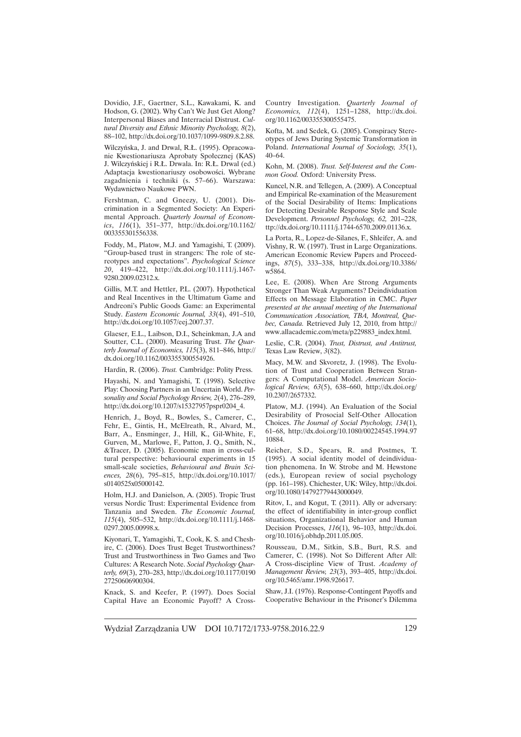Dovidio, J.F., Gaertner, S.L., Kawakami, K. and Hodson, G. (2002). Why Can't We Just Get Along? Interpersonal Biases and Interracial Distrust. *Cultural Diversity and Ethnic Minority Psychology, 8*(2), 88–102, http://dx.doi.org/10.1037/1099-9809.8.2.88.

Wilczyńska, J. and Drwal, R.Ł. (1995). Opracowanie Kwestionariusza Aprobaty Społecznej (KAS) J. Wilczyńskiej i R.Ł. Drwala. In: R.Ł. Drwal (ed.) Adaptacja kwestionariuszy osobowości. Wybrane zagadnienia i techniki (s. 57–66). Warszawa: Wydawnictwo Naukowe PWN.

Fershtman, C. and Gneezy, U. (2001). Discrimination in a Segmented Society: An Experimental Approach. *Quarterly Journal of Economics*, *116*(1), 351–377, http://dx.doi.org/10.1162/ 003355301556338.

Foddy, M., Platow, M.J. and Yamagishi, T. (2009). "Group-based trust in strangers: The role of stereotypes and expectations". *Psychological Science 20*, 419–422, http://dx.doi.org/10.1111/j.1467- 9280.2009.02312.x.

Gillis, M.T. and Hettler, P.L. (2007). Hypothetical and Real Incentives in the Ultimatum Game and Andreoni's Public Goods Game: an Experimental Study. *Eastern Economic Journal, 33*(4), 491–510, http://dx.doi.org/10.1057/eej.2007.37.

Glaeser, E.L., Laibson, D.I., Scheinkman, J.A and Soutter, C.L. (2000). Measuring Trust. *The Quarterly Journal of Economics, 115*(3), 811–846, http:// dx.doi.org/10.1162/003355300554926.

Hardin, R. (2006). *Trust.* Cambridge: Polity Press.

Hayashi, N. and Yamagishi, T. (1998). Selective Play: Choosing Partners in an Uncertain World. *Personality and Social Psychology Review, 2*(4), 276–289, http://dx.doi.org/10.1207/s15327957pspr0204\_4.

Henrich, J., Boyd, R., Bowles, S., Camerer, C., Fehr, E., Gintis, H., McElreath, R., Alvard, M., Barr, A., Ensminger, J., Hill, K., Gil-White, F., Gurven, M., Marlowe, F., Patton, J. Q., Smith, N., &Tracer, D. (2005). Economic man in cross-cultural perspective: behavioural experiments in 15 small-scale societies, *Behavioural and Brain Sciences, 28*(6), 795–815, http://dx.doi.org/10.1017/ s0140525x05000142.

Holm, H.J. and Danielson, A. (2005). Tropic Trust versus Nordic Trust: Experimental Evidence from Tanzania and Sweden. *The Economic Journal, 115*(4), 505–532, http://dx.doi.org/10.1111/j.1468- 0297.2005.00998.x.

Kiyonari, T., Yamagishi, T., Cook, K. S. and Cheshire, C. (2006). Does Trust Beget Trustworthiness? Trust and Trustworthiness in Two Games and Two Cultures: A Research Note. *Social Psychology Quarterly, 69*(3), 270–283, http://dx.doi.org/10.1177/0190 27250606900304.

Knack, S. and Keefer, P. (1997). Does Social Capital Have an Economic Payoff? A CrossCountry Investigation. *Quarterly Journal of Economics, 112*(4), 1251–1288, http://dx.doi. org/10.1162/003355300555475.

Kofta, M. and Sedek, G. (2005). Conspiracy Stereotypes of Jews During Systemic Transformation in Poland. *International Journal of Sociology, 35*(1), 40–64.

Kohn, M. (2008). *Trust. Self-Interest and the Common Good.* Oxford: University Press.

Kuncel, N.R. and Tellegen, A. (2009). A Conceptual and Empirical Re-examination of the Measurement of the Social Desirability of Items: Implications for Detecting Desirable Response Style and Scale Development. *Personnel Psychology, 62,* 201–228, ttp://dx.doi.org/10.1111/j.1744-6570.2009.01136.x.

La Porta, R., Lopez-de-Silanes, F., Shleifer, A. and Vishny, R. W. (1997). Trust in Large Organizations. American Economic Review Papers and Proceedings, *87*(5), 333–338, http://dx.doi.org/10.3386/ w5864.

Lee, E. (2008). When Are Strong Arguments Stronger Than Weak Arguments? Deindividuation Effects on Message Elaboration in CMC. *Paper presented at the annual meeting of the International Communication Association, TBA, Montreal, Quebec, Canada.* Retrieved July 12, 2010, from http:// www.allacademic.com/meta/p229883\_index.html.

Leslie, C.R. (2004). *Trust, Distrust, and Antitrust,*  Texas Law Review, *3*(82).

Macy, M.W. and Skvoretz, J. (1998). The Evolution of Trust and Cooperation Between Strangers: A Computational Model. *American Sociological Review, 63*(5), 638–660, http://dx.doi.org/ 10.2307/2657332.

Platow, M.J. (1994). An Evaluation of the Social Desirability of Prosocial Self-Other Allocation Choices. *The Journal of Social Psychology, 134*(1), 61–68, http://dx.doi.org/10.1080/00224545.1994.97 10884.

Reicher, S.D., Spears, R. and Postmes, T. (1995). A social identity model of deindividuation phenomena. In W. Strobe and M. Hewstone (eds.), European review of social psychology (pp. 161–198). Chichester, UK: Wiley, http://dx.doi. org/10.1080/14792779443000049.

Ritov, I., and Kogut, T. (2011). Ally or adversary: the effect of identifiability in inter-group conflict situations, Organizational Behavior and Human Decision Processes, *116*(1), 96–103, http://dx.doi. org/10.1016/j.obhdp.2011.05.005.

Rousseau, D.M., Sitkin, S.B., Burt, R.S. and Camerer, C. (1998). Not So Different After All: A Cross-discipline View of Trust. *Academy of Management Review, 23*(3), 393–405, http://dx.doi. org/10.5465/amr.1998.926617.

Shaw, J.I. (1976). Response-Contingent Payoffs and Cooperative Behaviour in the Prisoner's Dilemma